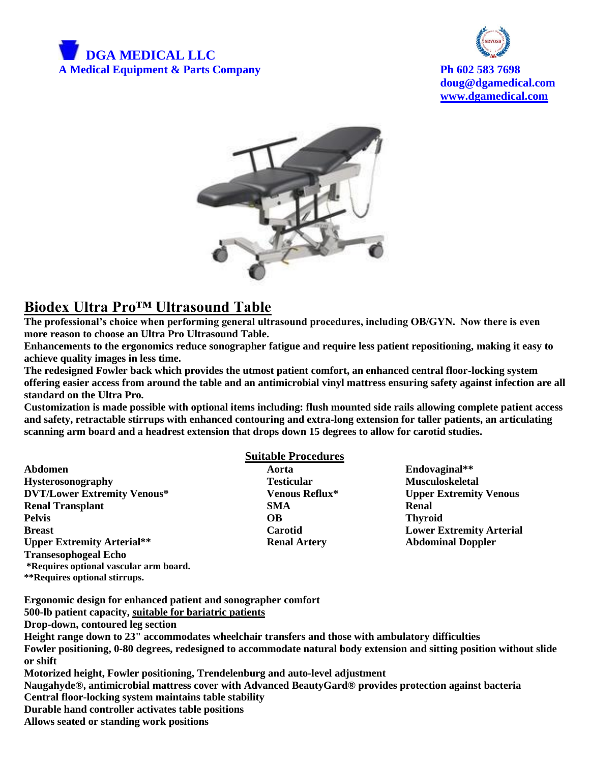



**doug@dgamedical.com [www.dgamedical.com](http://www.dgamedical.com/)**



## **Biodex Ultra Pro™ Ultrasound Table**

**The professional's choice when performing general ultrasound procedures, including OB/GYN. Now there is even more reason to choose an Ultra Pro Ultrasound Table.** 

**Enhancements to the ergonomics reduce sonographer fatigue and require less patient repositioning, making it easy to achieve quality images in less time.** 

**The redesigned Fowler back which provides the utmost patient comfort, an enhanced central floor-locking system offering easier access from around the table and an antimicrobial vinyl mattress ensuring safety against infection are all standard on the Ultra Pro.**

**Customization is made possible with optional items including: flush mounted side rails allowing complete patient access and safety, retractable stirrups with enhanced contouring and extra-long extension for taller patients, an articulating scanning arm board and a headrest extension that drops down 15 degrees to allow for carotid studies.**

|                                        | <b>Suitable Procedures</b> |                                 |
|----------------------------------------|----------------------------|---------------------------------|
| Abdomen                                | Aorta                      | Endovaginal**                   |
| <b>Hysterosonography</b>               | <b>Testicular</b>          | <b>Musculoskeletal</b>          |
| <b>DVT/Lower Extremity Venous*</b>     | Venous Reflux*             | <b>Upper Extremity Venous</b>   |
| <b>Renal Transplant</b>                | <b>SMA</b>                 | Renal                           |
| <b>Pelvis</b>                          | OВ                         | <b>Thyroid</b>                  |
| <b>Breast</b>                          | Carotid                    | <b>Lower Extremity Arterial</b> |
| <b>Upper Extremity Arterial**</b>      | <b>Renal Artery</b>        | <b>Abdominal Doppler</b>        |
| <b>Transesophogeal Echo</b>            |                            |                                 |
| *Requires optional vascular arm board. |                            |                                 |

**Ergonomic design for enhanced patient and sonographer comfort**

**500-lb patient capacity, suitable for bariatric patients**

**Drop-down, contoured leg section**

**\*\*Requires optional stirrups.** 

**Height range down to 23" accommodates wheelchair transfers and those with ambulatory difficulties Fowler positioning, 0-80 degrees, redesigned to accommodate natural body extension and sitting position without slide or shift Motorized height, Fowler positioning, Trendelenburg and auto-level adjustment**

**Naugahyde®, antimicrobial mattress cover with Advanced BeautyGard® provides protection against bacteria Central floor-locking system maintains table stability**

**Durable hand controller activates table positions**

**Allows seated or standing work positions**